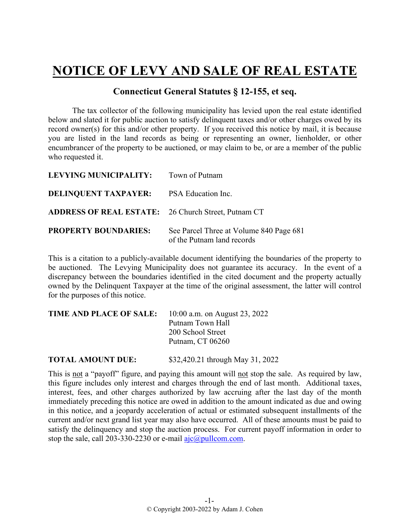## **NOTICE OF LEVY AND SALE OF REAL ESTATE**

## **Connecticut General Statutes § 12-155, et seq.**

The tax collector of the following municipality has levied upon the real estate identified below and slated it for public auction to satisfy delinquent taxes and/or other charges owed by its record owner(s) for this and/or other property. If you received this notice by mail, it is because you are listed in the land records as being or representing an owner, lienholder, or other encumbrancer of the property to be auctioned, or may claim to be, or are a member of the public who requested it.

| LEVYING MUNICIPALITY:                                      | Town of Putnam                                                        |
|------------------------------------------------------------|-----------------------------------------------------------------------|
| <b>DELINQUENT TAXPAYER:</b>                                | PSA Education Inc.                                                    |
| <b>ADDRESS OF REAL ESTATE:</b> 26 Church Street, Putnam CT |                                                                       |
| <b>PROPERTY BOUNDARIES:</b>                                | See Parcel Three at Volume 840 Page 681<br>of the Putnam land records |

This is a citation to a publicly-available document identifying the boundaries of the property to be auctioned. The Levying Municipality does not guarantee its accuracy. In the event of a discrepancy between the boundaries identified in the cited document and the property actually owned by the Delinquent Taxpayer at the time of the original assessment, the latter will control for the purposes of this notice.

| <b>TIME AND PLACE OF SALE:</b> | 10:00 a.m. on August 23, 2022 |  |
|--------------------------------|-------------------------------|--|
|                                | Putnam Town Hall              |  |
|                                | 200 School Street             |  |
|                                | Putnam, CT 06260              |  |
|                                |                               |  |

**TOTAL AMOUNT DUE:** \$32,420.21 through May 31, 2022

This is not a "payoff" figure, and paying this amount will not stop the sale. As required by law, this figure includes only interest and charges through the end of last month. Additional taxes, interest, fees, and other charges authorized by law accruing after the last day of the month immediately preceding this notice are owed in addition to the amount indicated as due and owing in this notice, and a jeopardy acceleration of actual or estimated subsequent installments of the current and/or next grand list year may also have occurred. All of these amounts must be paid to satisfy the delinquency and stop the auction process. For current payoff information in order to stop the sale, call 203-330-2230 or e-mail  $a$ jc $(a)$ pullcom.com.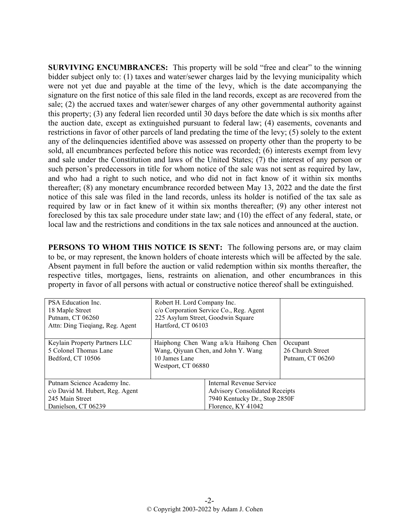**SURVIVING ENCUMBRANCES:** This property will be sold "free and clear" to the winning bidder subject only to: (1) taxes and water/sewer charges laid by the levying municipality which were not yet due and payable at the time of the levy, which is the date accompanying the signature on the first notice of this sale filed in the land records, except as are recovered from the sale; (2) the accrued taxes and water/sewer charges of any other governmental authority against this property; (3) any federal lien recorded until 30 days before the date which is six months after the auction date, except as extinguished pursuant to federal law; (4) easements, covenants and restrictions in favor of other parcels of land predating the time of the levy; (5) solely to the extent any of the delinquencies identified above was assessed on property other than the property to be sold, all encumbrances perfected before this notice was recorded; (6) interests exempt from levy and sale under the Constitution and laws of the United States; (7) the interest of any person or such person's predecessors in title for whom notice of the sale was not sent as required by law, and who had a right to such notice, and who did not in fact know of it within six months thereafter; (8) any monetary encumbrance recorded between May 13, 2022 and the date the first notice of this sale was filed in the land records, unless its holder is notified of the tax sale as required by law or in fact knew of it within six months thereafter; (9) any other interest not foreclosed by this tax sale procedure under state law; and (10) the effect of any federal, state, or local law and the restrictions and conditions in the tax sale notices and announced at the auction.

**PERSONS TO WHOM THIS NOTICE IS SENT:** The following persons are, or may claim to be, or may represent, the known holders of choate interests which will be affected by the sale. Absent payment in full before the auction or valid redemption within six months thereafter, the respective titles, mortgages, liens, restraints on alienation, and other encumbrances in this property in favor of all persons with actual or constructive notice thereof shall be extinguished.

| PSA Education Inc.<br>18 Maple Street<br>Putnam, CT 06260<br>Attn: Ding Tieqiang, Reg. Agent             | Robert H. Lord Company Inc.<br>225 Asylum Street, Goodwin Square<br>Hartford, CT 06103                                | c/o Corporation Service Co., Reg. Agent                                                                                  |                                                  |
|----------------------------------------------------------------------------------------------------------|-----------------------------------------------------------------------------------------------------------------------|--------------------------------------------------------------------------------------------------------------------------|--------------------------------------------------|
| Keylain Property Partners LLC<br>5 Colonel Thomas Lane<br>Bedford, CT 10506                              | Haiphong Chen Wang $a/k/a$ Haihong Chen<br>Wang, Qiyuan Chen, and John Y. Wang<br>10 James Lane<br>Westport, CT 06880 |                                                                                                                          | Occupant<br>26 Church Street<br>Putnam, CT 06260 |
| Putnam Science Academy Inc.<br>c/o David M. Hubert, Reg. Agent<br>245 Main Street<br>Danielson, CT 06239 |                                                                                                                       | Internal Revenue Service<br><b>Advisory Consolidated Receipts</b><br>7940 Kentucky Dr., Stop 2850F<br>Florence, KY 41042 |                                                  |